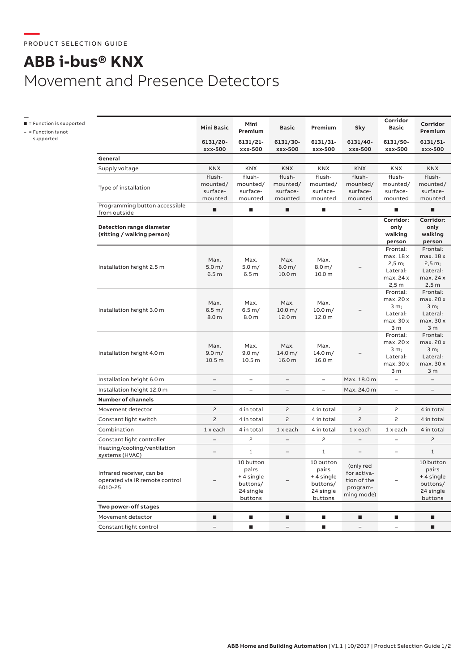## **ABB i-bus® KNX** Movement and Presence Detectors

—<br>■ = Function is supported

– = Function is not supported

|                                                                        | <b>Mini Basic</b>          | Mini<br>Premium                                                      | <b>Basic</b>                              | Premium                                                              | Sky                                                               | Corridor<br><b>Basic</b> | Corridor<br>Premium                                                  |
|------------------------------------------------------------------------|----------------------------|----------------------------------------------------------------------|-------------------------------------------|----------------------------------------------------------------------|-------------------------------------------------------------------|--------------------------|----------------------------------------------------------------------|
|                                                                        | 6131/20-<br>xxx-500        | 6131/21-<br>xxx-500                                                  | 6131/30-<br>xxx-500                       | 6131/31-<br>xxx-500                                                  | 6131/40-<br>xxx-500                                               | 6131/50-<br>xxx-500      | 6131/51-<br>xxx-500                                                  |
| General                                                                |                            |                                                                      |                                           |                                                                      |                                                                   |                          |                                                                      |
| Supply voltage                                                         | <b>KNX</b>                 | KNX                                                                  | <b>KNX</b>                                | KNX                                                                  | <b>KNX</b>                                                        | KNX                      | <b>KNX</b>                                                           |
|                                                                        | flush-                     | flush-                                                               | flush-                                    | flush-                                                               | flush-                                                            | flush-                   | flush-                                                               |
| Type of installation                                                   | mounted/                   | mounted/                                                             | mounted/                                  | mounted/                                                             | mounted/                                                          | mounted/                 | mounted/                                                             |
|                                                                        | surface-                   | surface-                                                             | surface-                                  | surface-                                                             | surface-                                                          | surface-                 | surface-                                                             |
| Programming button accessible<br>from outside                          | mounted<br>п               | mounted<br>п                                                         | mounted<br>٠                              | mounted<br>п                                                         | mounted                                                           | mounted<br>п             | mounted<br>п                                                         |
|                                                                        |                            |                                                                      |                                           |                                                                      |                                                                   | Corridor:                | Corridor:                                                            |
| Detection range diameter                                               |                            |                                                                      |                                           |                                                                      |                                                                   | only                     | only                                                                 |
| (sitting / walking person)                                             |                            |                                                                      |                                           |                                                                      |                                                                   | walking                  | walking                                                              |
|                                                                        |                            |                                                                      |                                           |                                                                      |                                                                   | person<br>Frontal:       | person<br>Frontal:                                                   |
|                                                                        |                            |                                                                      |                                           |                                                                      |                                                                   | max. 18 x                | max. 18 x                                                            |
|                                                                        | Max.                       | Max.                                                                 | Max.                                      | Max.                                                                 |                                                                   | 2,5 m;                   | 2,5 m;                                                               |
| Installation height 2.5 m                                              | 5.0 m/<br>6.5 <sub>m</sub> | 5.0 m/<br>6.5 <sub>m</sub>                                           | $8.0 \,\mathrm{m}$ /<br>10.0 <sub>m</sub> | 8.0 m/<br>10.0 <sub>m</sub>                                          |                                                                   | Lateral:                 | Lateral:                                                             |
|                                                                        |                            |                                                                      |                                           |                                                                      |                                                                   | max. 24 x                | max. 24 x                                                            |
|                                                                        |                            |                                                                      |                                           |                                                                      |                                                                   | 2,5m                     | 2,5m                                                                 |
|                                                                        |                            |                                                                      |                                           |                                                                      |                                                                   | Frontal:<br>max. 20 x    | Frontal:<br>max. 20 x                                                |
| Installation height 3.0 m                                              | Max.                       | Max.                                                                 | Max.                                      | Max.                                                                 |                                                                   | 3 m;                     | 3 m;                                                                 |
|                                                                        | 6.5 m/                     | 6.5 m/                                                               | 10.0 m/                                   | 10.0 m/                                                              |                                                                   | Lateral:                 | Lateral:                                                             |
|                                                                        | 8.0 m                      | 8.0 m                                                                | 12.0 m                                    | 12.0 m                                                               |                                                                   | max. 30 x                | max. 30 x                                                            |
|                                                                        |                            |                                                                      |                                           |                                                                      |                                                                   | 3 <sub>m</sub>           | 3 <sub>m</sub>                                                       |
| Installation height 4.0 m                                              |                            |                                                                      |                                           |                                                                      |                                                                   | Frontal:                 | Frontal:                                                             |
|                                                                        | Max.                       | Max.                                                                 | Max.                                      | Max.                                                                 | 14.0 m/<br>16.0 m                                                 | max. 20 x<br>3 m;        | max. 20 x<br>3 m:                                                    |
|                                                                        | 9.0 m/                     | 9.0 m/                                                               | 14.0 m/                                   |                                                                      |                                                                   | Lateral:                 | Lateral:                                                             |
|                                                                        | 10.5 <sub>m</sub>          | 10.5 <sub>m</sub>                                                    | 16.0 <sub>m</sub>                         |                                                                      |                                                                   | max. 30 x                | max. 30 x                                                            |
|                                                                        |                            |                                                                      |                                           |                                                                      |                                                                   | 3 <sub>m</sub>           | 3 <sub>m</sub>                                                       |
| Installation height 6.0 m                                              | $\qquad \qquad -$          | $\overline{\phantom{0}}$                                             | $\overline{\phantom{0}}$                  | $\overline{\phantom{0}}$                                             | Max. 18.0 m                                                       | $\equiv$                 | $\overline{\phantom{a}}$                                             |
| Installation height 12.0 m                                             | $\overline{\phantom{0}}$   | -                                                                    | $\equiv$                                  | L.                                                                   | Max. 24.0 m                                                       | $\overline{\phantom{0}}$ | $\equiv$                                                             |
| <b>Number of channels</b>                                              |                            |                                                                      |                                           |                                                                      |                                                                   |                          |                                                                      |
| Movement detector                                                      | 2                          | 4 in total                                                           | 2                                         | 4 in total                                                           | 2                                                                 | 2                        | 4 in total                                                           |
| Constant light switch                                                  | $\overline{c}$             | 4 in total                                                           | $\overline{c}$                            | 4 in total                                                           | $\overline{c}$                                                    | $\overline{c}$           | 4 in total                                                           |
| Combination                                                            | $1x$ each                  | 4 in total                                                           | $1x$ each                                 | 4 in total                                                           | $1x$ each                                                         | $1x$ each                | 4 in total                                                           |
| Constant light controller                                              | $\overline{a}$             | 2                                                                    |                                           | $\mathsf{S}$                                                         |                                                                   | $\overline{a}$           | $\overline{c}$                                                       |
| Heating/cooling/ventilation<br>systems (HVAC)                          |                            | 1                                                                    |                                           | $\mathbf{1}$                                                         | -                                                                 | $\qquad \qquad -$        | $\mathbf{1}$                                                         |
| Infrared receiver, can be<br>operated via IR remote control<br>6010-25 |                            | 10 button<br>pairs<br>+ 4 single<br>buttons/<br>24 single<br>buttons |                                           | 10 button<br>pairs<br>+ 4 single<br>buttons/<br>24 single<br>buttons | (only red<br>for activa-<br>tion of the<br>program-<br>ming mode) |                          | 10 button<br>pairs<br>+ 4 single<br>buttons/<br>24 single<br>buttons |
| Two power-off stages                                                   |                            |                                                                      |                                           |                                                                      |                                                                   |                          |                                                                      |
| Movement detector                                                      | п                          | $\blacksquare$                                                       | п                                         | п                                                                    | ٠                                                                 | $\blacksquare$           | п                                                                    |
| Constant light control                                                 |                            | п                                                                    |                                           | п                                                                    |                                                                   |                          | п                                                                    |